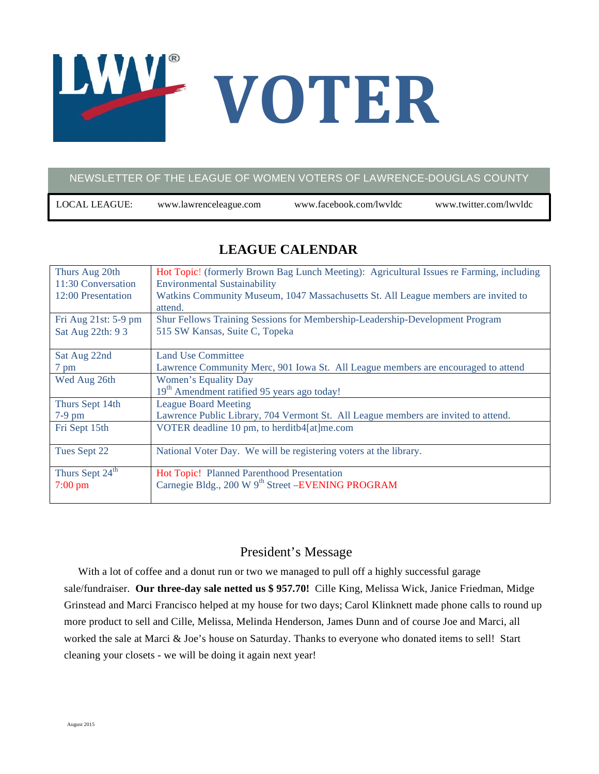# **VOTER**

### NEWSLETTER OF THE LEAGUE OF WOMEN VOTERS OF LAWRENCE-DOUGLAS COUNTY

LOCAL LEAGUE: www.lawrenceleague.com www.facebook.com/lwvldc www.twitter.com/lwvldc

### **LEAGUE CALENDAR**

| Thurs Aug 20th              | Hot Topic! (formerly Brown Bag Lunch Meeting): Agricultural Issues re Farming, including |
|-----------------------------|------------------------------------------------------------------------------------------|
| 11:30 Conversation          | <b>Environmental Sustainability</b>                                                      |
| 12:00 Presentation          | Watkins Community Museum, 1047 Massachusetts St. All League members are invited to       |
|                             | attend.                                                                                  |
| Fri Aug 21st: 5-9 pm        | Shur Fellows Training Sessions for Membership-Leadership-Development Program             |
| Sat Aug 22th: 93            | 515 SW Kansas, Suite C, Topeka                                                           |
|                             |                                                                                          |
| Sat Aug 22nd                | <b>Land Use Committee</b>                                                                |
| 7 pm                        | Lawrence Community Merc, 901 Iowa St. All League members are encouraged to attend        |
| Wed Aug 26th                | <b>Women's Equality Day</b>                                                              |
|                             | 19 <sup>th</sup> Amendment ratified 95 years ago today!                                  |
| Thurs Sept 14th             | <b>League Board Meeting</b>                                                              |
| $7-9$ pm                    | Lawrence Public Library, 704 Vermont St. All League members are invited to attend.       |
| Fri Sept 15th               | VOTER deadline 10 pm, to herditb4[at]me.com                                              |
|                             |                                                                                          |
| Tues Sept 22                | National Voter Day. We will be registering voters at the library.                        |
|                             |                                                                                          |
| Thurs Sept 24 <sup>th</sup> | Hot Topic! Planned Parenthood Presentation                                               |
| $7:00 \text{ pm}$           | Carnegie Bldg., 200 W 9 <sup>th</sup> Street -EVENING PROGRAM                            |
|                             |                                                                                          |

### President's Message

With a lot of coffee and a donut run or two we managed to pull off a highly successful garage sale/fundraiser. **Our three-day sale netted us \$ 957.70!** Cille King, Melissa Wick, Janice Friedman, Midge Grinstead and Marci Francisco helped at my house for two days; Carol Klinknett made phone calls to round up more product to sell and Cille, Melissa, Melinda Henderson, James Dunn and of course Joe and Marci, all worked the sale at Marci & Joe's house on Saturday. Thanks to everyone who donated items to sell! Start cleaning your closets - we will be doing it again next year!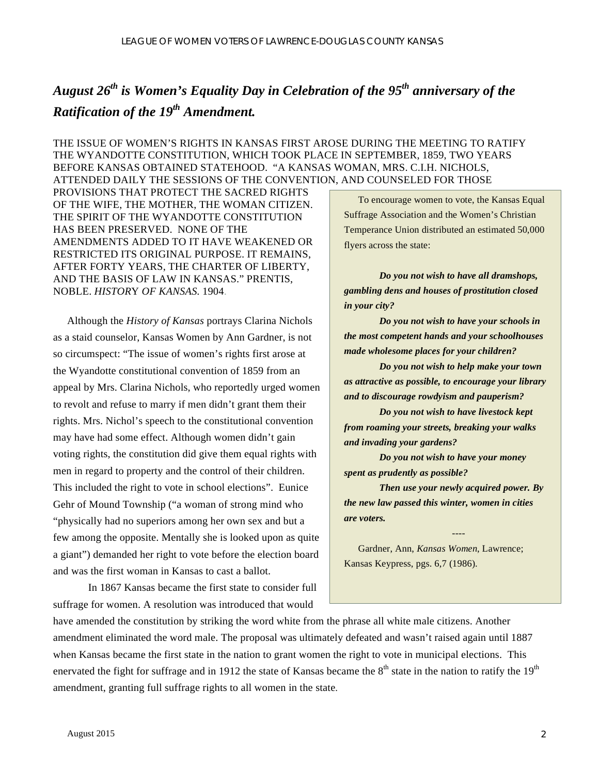## *August 26th is Women's Equality Day in Celebration of the 95th anniversary of the Ratification of the 19th Amendment.*

THE ISSUE OF WOMEN'S RIGHTS IN KANSAS FIRST AROSE DURING THE MEETING TO RATIFY THE WYANDOTTE CONSTITUTION, WHICH TOOK PLACE IN SEPTEMBER, 1859, TWO YEARS BEFORE KANSAS OBTAINED STATEHOOD. "A KANSAS WOMAN, MRS. C.I.H. NICHOLS, ATTENDED DAILY THE SESSIONS OF THE CONVENTION, AND COUNSELED FOR THOSE

PROVISIONS THAT PROTECT THE SACRED RIGHTS OF THE WIFE, THE MOTHER, THE WOMAN CITIZEN. THE SPIRIT OF THE WYANDOTTE CONSTITUTION HAS BEEN PRESERVED. NONE OF THE AMENDMENTS ADDED TO IT HAVE WEAKENED OR RESTRICTED ITS ORIGINAL PURPOSE. IT REMAINS, AFTER FORTY YEARS, THE CHARTER OF LIBERTY, AND THE BASIS OF LAW IN KANSAS." PRENTIS, NOBLE. *HISTOR*Y *OF KANSAS.* 1904.

Although the *History of Kansas* portrays Clarina Nichols as a staid counselor, Kansas Women by Ann Gardner, is not so circumspect: "The issue of women's rights first arose at the Wyandotte constitutional convention of 1859 from an appeal by Mrs. Clarina Nichols, who reportedly urged women to revolt and refuse to marry if men didn't grant them their rights. Mrs. Nichol's speech to the constitutional convention may have had some effect. Although women didn't gain voting rights, the constitution did give them equal rights with men in regard to property and the control of their children. This included the right to vote in school elections". Eunice Gehr of Mound Township ("a woman of strong mind who "physically had no superiors among her own sex and but a few among the opposite. Mentally she is looked upon as quite a giant") demanded her right to vote before the election board and was the first woman in Kansas to cast a ballot.

In 1867 Kansas became the first state to consider full suffrage for women. A resolution was introduced that would

To encourage women to vote, the Kansas Equal Suffrage Association and the Women's Christian Temperance Union distributed an estimated 50,000 flyers across the state:

*Do you not wish to have all dramshops, gambling dens and houses of prostitution closed in your city?*

*Do you not wish to have your schools in the most competent hands and your schoolhouses made wholesome places for your children?*

*Do you not wish to help make your town as attractive as possible, to encourage your library and to discourage rowdyism and pauperism?*

*Do you not wish to have livestock kept from roaming your streets, breaking your walks and invading your gardens?*

*Do you not wish to have your money spent as prudently as possible?*

*Then use your newly acquired power. By the new law passed this winter, women in cities are voters.*

----

Gardner, Ann, *Kansas Women*, Lawrence; Kansas Keypress, pgs. 6,7 (1986).

have amended the constitution by striking the word white from the phrase all white male citizens. Another amendment eliminated the word male. The proposal was ultimately defeated and wasn't raised again until 1887 when Kansas became the first state in the nation to grant women the right to vote in municipal elections. This enervated the fight for suffrage and in 1912 the state of Kansas became the  $8<sup>th</sup>$  state in the nation to ratify the  $19<sup>th</sup>$ amendment, granting full suffrage rights to all women in the state.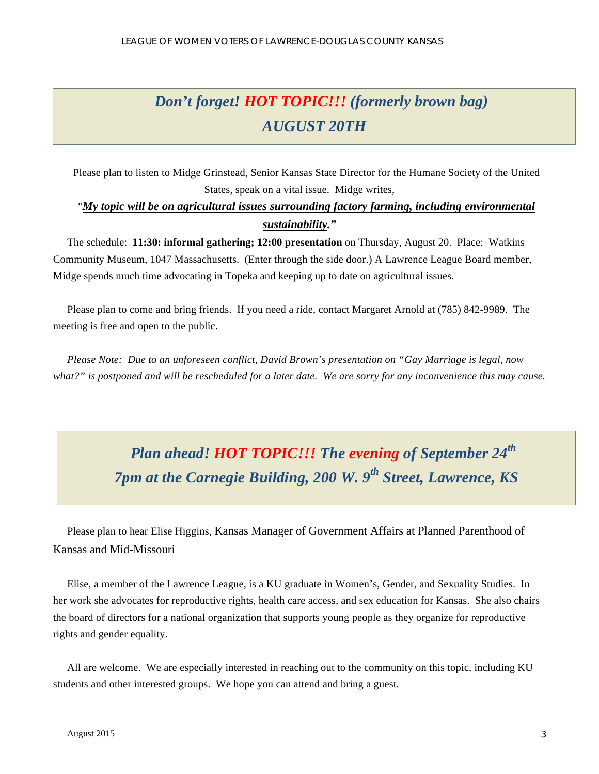# *Don't forget! HOT TOPIC!!! (formerly brown bag) AUGUST 20TH*

Please plan to listen to Midge Grinstead, Senior Kansas State Director for the Humane Society of the United States, speak on a vital issue. Midge writes,

### "*My topic will be on agricultural issues surrounding factory farming, including environmental sustainability."*

The schedule: **11:30: informal gathering; 12:00 presentation** on Thursday, August 20. Place: Watkins Community Museum, 1047 Massachusetts. (Enter through the side door.) A Lawrence League Board member, Midge spends much time advocating in Topeka and keeping up to date on agricultural issues.

Please plan to come and bring friends. If you need a ride, contact Margaret Arnold at (785) 842-9989. The meeting is free and open to the public.

*Please Note: Due to an unforeseen conflict, David Brown's presentation on "Gay Marriage is legal, now what?" is postponed and will be rescheduled for a later date. We are sorry for any inconvenience this may cause.*

# *Plan ahead! HOT TOPIC!!! The evening of September 24th 7pm at the Carnegie Building, 200 W. 9th Street, Lawrence, KS*

Please plan to hear Elise Higgins, Kansas Manager of Government Affairs at Planned Parenthood of Kansas and Mid-Missouri

Elise, a member of the Lawrence League, is a KU graduate in Women's, Gender, and Sexuality Studies. In her work she advocates for reproductive rights, health care access, and sex education for Kansas. She also chairs the board of directors for a national organization that supports young people as they organize for reproductive rights and gender equality.

All are welcome. We are especially interested in reaching out to the community on this topic, including KU students and other interested groups. We hope you can attend and bring a guest.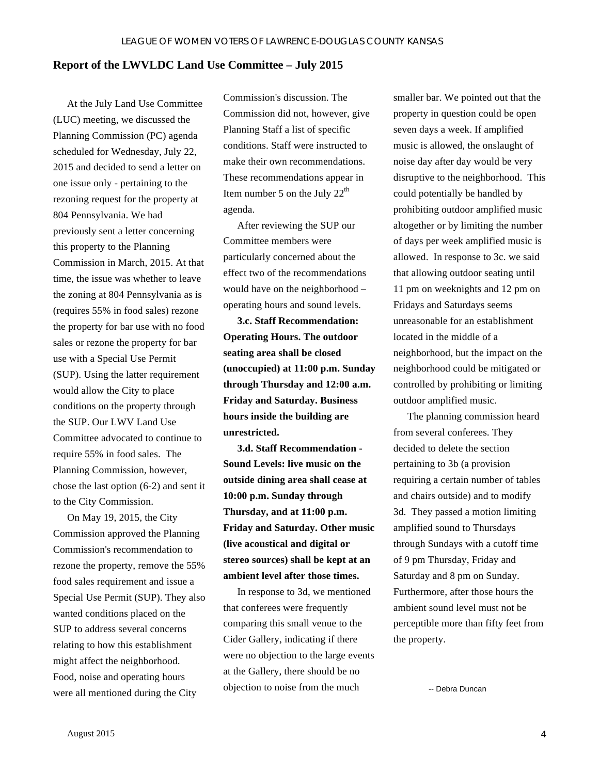### **Report of the LWVLDC Land Use Committee – July 2015**

At the July Land Use Committee (LUC) meeting, we discussed the Planning Commission (PC) agenda scheduled for Wednesday, July 22, 2015 and decided to send a letter on one issue only - pertaining to the rezoning request for the property at 804 Pennsylvania. We had previously sent a letter concerning this property to the Planning Commission in March, 2015. At that time, the issue was whether to leave the zoning at 804 Pennsylvania as is (requires 55% in food sales) rezone the property for bar use with no food sales or rezone the property for bar use with a Special Use Permit (SUP). Using the latter requirement would allow the City to place conditions on the property through the SUP. Our LWV Land Use Committee advocated to continue to require 55% in food sales. The Planning Commission, however, chose the last option (6-2) and sent it to the City Commission.

On May 19, 2015, the City Commission approved the Planning Commission's recommendation to rezone the property, remove the 55% food sales requirement and issue a Special Use Permit (SUP). They also wanted conditions placed on the SUP to address several concerns relating to how this establishment might affect the neighborhood. Food, noise and operating hours were all mentioned during the City

Commission's discussion. The Commission did not, however, give Planning Staff a list of specific conditions. Staff were instructed to make their own recommendations. These recommendations appear in Item number 5 on the July  $22<sup>th</sup>$ agenda.

After reviewing the SUP our Committee members were particularly concerned about the effect two of the recommendations would have on the neighborhood – operating hours and sound levels.

**3.c. Staff Recommendation: Operating Hours. The outdoor seating area shall be closed (unoccupied) at 11:00 p.m. Sunday through Thursday and 12:00 a.m. Friday and Saturday. Business hours inside the building are unrestricted.**

**3.d. Staff Recommendation - Sound Levels: live music on the outside dining area shall cease at 10:00 p.m. Sunday through Thursday, and at 11:00 p.m. Friday and Saturday. Other music (live acoustical and digital or stereo sources) shall be kept at an ambient level after those times.** 

In response to 3d, we mentioned that conferees were frequently comparing this small venue to the Cider Gallery, indicating if there were no objection to the large events at the Gallery, there should be no objection to noise from the much

smaller bar. We pointed out that the property in question could be open seven days a week. If amplified music is allowed, the onslaught of noise day after day would be very disruptive to the neighborhood. This could potentially be handled by prohibiting outdoor amplified music altogether or by limiting the number of days per week amplified music is allowed. In response to 3c. we said that allowing outdoor seating until 11 pm on weeknights and 12 pm on Fridays and Saturdays seems unreasonable for an establishment located in the middle of a neighborhood, but the impact on the neighborhood could be mitigated or controlled by prohibiting or limiting outdoor amplified music.

The planning commission heard from several conferees. They decided to delete the section pertaining to 3b (a provision requiring a certain number of tables and chairs outside) and to modify 3d. They passed a motion limiting amplified sound to Thursdays through Sundays with a cutoff time of 9 pm Thursday, Friday and Saturday and 8 pm on Sunday. Furthermore, after those hours the ambient sound level must not be perceptible more than fifty feet from the property.

-- Debra Duncan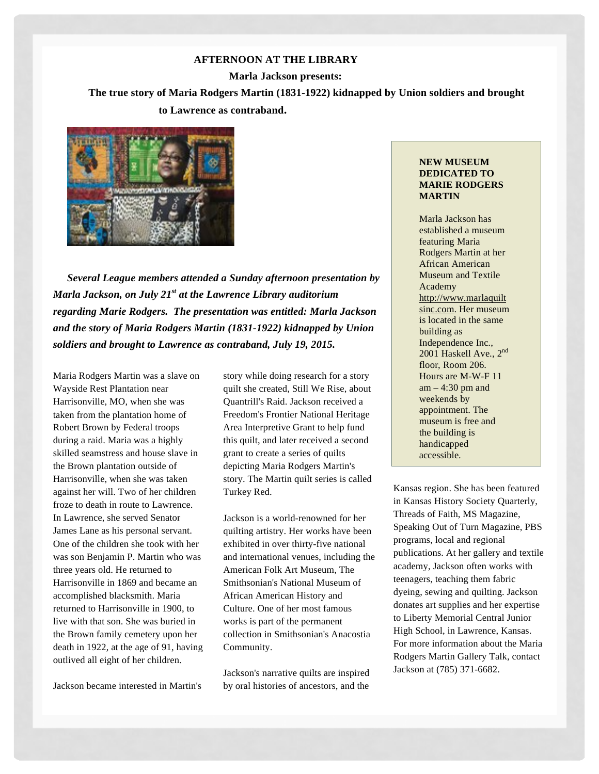### **AFTERNOON AT THE LIBRARY**

**Marla Jackson presents:**

**The true story of Maria Rodgers Martin (1831-1922) kidnapped by Union soldiers and brought to Lawrence as contraband.** 



*Several League members attended a Sunday afternoon presentation by Marla Jackson, on July 21st at the Lawrence Library auditorium regarding Marie Rodgers. The presentation was entitled: Marla Jackson and the story of Maria Rodgers Martin (1831-1922) kidnapped by Union soldiers and brought to Lawrence as contraband, July 19, 2015.* 

Maria Rodgers Martin was a slave on Wayside Rest Plantation near Harrisonville, MO, when she was taken from the plantation home of Robert Brown by Federal troops during a raid. Maria was a highly skilled seamstress and house slave in the Brown plantation outside of Harrisonville, when she was taken against her will. Two of her children froze to death in route to Lawrence. In Lawrence, she served Senator James Lane as his personal servant. One of the children she took with her was son Benjamin P. Martin who was three years old. He returned to Harrisonville in 1869 and became an accomplished blacksmith. Maria returned to Harrisonville in 1900, to live with that son. She was buried in the Brown family cemetery upon her death in 1922, at the age of 91, having outlived all eight of her children.

Jackson became interested in Martin's

story while doing research for a story quilt she created, Still We Rise, about Quantrill's Raid. Jackson received a Freedom's Frontier National Heritage Area Interpretive Grant to help fund this quilt, and later received a second grant to create a series of quilts depicting Maria Rodgers Martin's story. The Martin quilt series is called Turkey Red.

Jackson is a world-renowned for her quilting artistry. Her works have been exhibited in over thirty-five national and international venues, including the American Folk Art Museum, The Smithsonian's National Museum of African American History and Culture. One of her most famous works is part of the permanent collection in Smithsonian's Anacostia Community.

Jackson's narrative quilts are inspired by oral histories of ancestors, and the

### **NEW MUSEUM DEDICATED TO MARIE RODGERS MARTIN**

Marla Jackson has established a museum featuring Maria Rodgers Martin at her African American Museum and Textile Academy http://www.marlaquilt sinc.com. Her museum is located in the same building as Independence Inc., 2001 Haskell Ave., 2<sup>nd</sup> floor, Room 206. Hours are M-W-F 11  $am - 4:30$  pm and weekends by appointment. The museum is free and the building is handicapped accessible.

Kansas region. She has been featured in Kansas History Society Quarterly, Threads of Faith, MS Magazine, Speaking Out of Turn Magazine, PBS programs, local and regional publications. At her gallery and textile academy, Jackson often works with teenagers, teaching them fabric dyeing, sewing and quilting. Jackson donates art supplies and her expertise to Liberty Memorial Central Junior High School, in Lawrence, Kansas. For more information about the Maria Rodgers Martin Gallery Talk, contact Jackson at (785) 371-6682.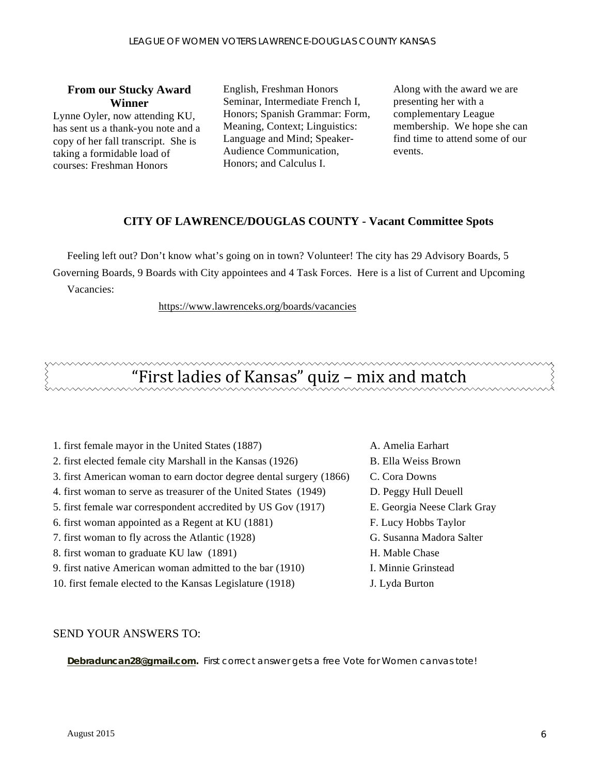### **From our Stucky Award Winner**

Lynne Oyler, now attending KU, has sent us a thank-you note and a copy of her fall transcript. She is taking a formidable load of courses: Freshman Honors

English, Freshman Honors Seminar, Intermediate French I, Honors; Spanish Grammar: Form, Meaning, Context; Linguistics: Language and Mind; Speaker-Audience Communication, Honors; and Calculus I.

Along with the award we are presenting her with a complementary League membership. We hope she can find time to attend some of our events.

### **CITY OF LAWRENCE/DOUGLAS COUNTY - Vacant Committee Spots**

Feeling left out? Don't know what's going on in town? Volunteer! The city has 29 Advisory Boards, 5 Governing Boards, 9 Boards with City appointees and 4 Task Forces. Here is a list of Current and Upcoming Vacancies:

https://www.lawrenceks.org/boards/vacancies

# "First ladies of Kansas" quiz - mix and match

- 1. first female mayor in the United States (1887) A. Amelia Earhart 2. first elected female city Marshall in the Kansas (1926) B. Ella Weiss Brown 3. first American woman to earn doctor degree dental surgery (1866) C. Cora Downs 4. first woman to serve as treasurer of the United States (1949) D. Peggy Hull Deuell 5. first female war correspondent accredited by US Gov (1917) E. Georgia Neese Clark Gray 6. first woman appointed as a Regent at KU (1881) F. Lucy Hobbs Taylor 7. first woman to fly across the Atlantic (1928) G. Susanna Madora Salter 8. first woman to graduate KU law (1891) H. Mable Chase 9. first native American woman admitted to the bar (1910) I. Minnie Grinstead 10. first female elected to the Kansas Legislature (1918) J. Lyda Burton
- -
	-
	-
	-
	-
	-
	-
	-
	-

### SEND YOUR ANSWERS TO:

**Debraduncan28@gmail.com.** First correct answer gets a free Vote for Women canvas tote!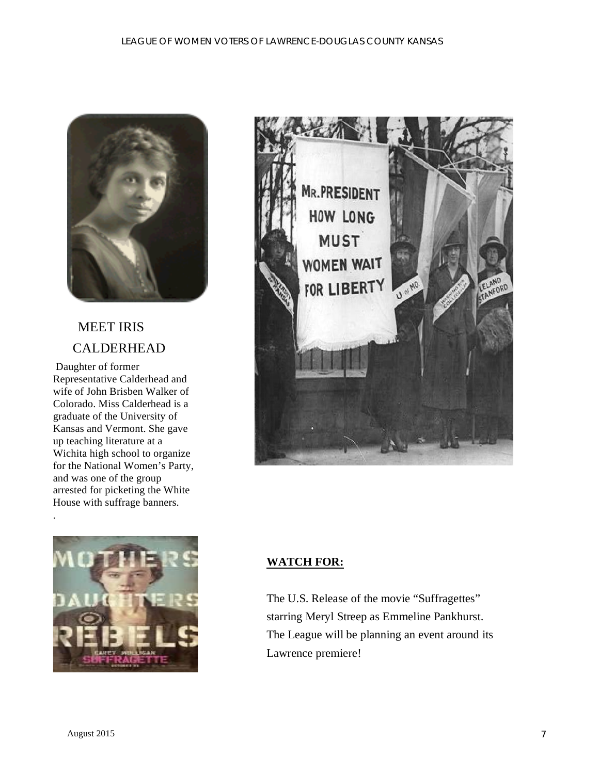

# MEET IRIS CALDERHEAD

Daughter of former Representative Calderhead and wife of John Brisben Walker of Colorado. Miss Calderhead is a graduate of the University of Kansas and Vermont. She gave up teaching literature at a Wichita high school to organize for the National Women's Party, and was one of the group arrested for picketing the White House with suffrage banners.





### **WATCH FOR:**

The U.S. Release of the movie "Suffragettes" starring Meryl Streep as Emmeline Pankhurst. The League will be planning an event around its Lawrence premiere!

.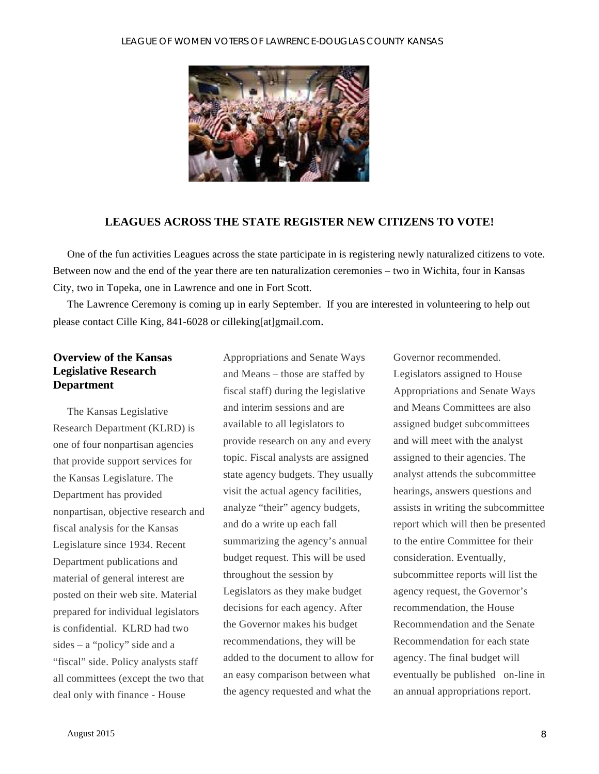

### **LEAGUES ACROSS THE STATE REGISTER NEW CITIZENS TO VOTE!**

One of the fun activities Leagues across the state participate in is registering newly naturalized citizens to vote. Between now and the end of the year there are ten naturalization ceremonies – two in Wichita, four in Kansas City, two in Topeka, one in Lawrence and one in Fort Scott.

The Lawrence Ceremony is coming up in early September. If you are interested in volunteering to help out please contact Cille King, 841-6028 or cilleking[at]gmail.com.

### **Overview of the Kansas Legislative Research Department**

The Kansas Legislative Research Department (KLRD) is one of four nonpartisan agencies that provide support services for the Kansas Legislature. The Department has provided nonpartisan, objective research and fiscal analysis for the Kansas Legislature since 1934. Recent Department publications and material of general interest are posted on their web site. Material prepared for individual legislators is confidential. KLRD had two sides – a "policy" side and a "fiscal" side. Policy analysts staff all committees (except the two that deal only with finance - House

Appropriations and Senate Ways and Means – those are staffed by fiscal staff) during the legislative and interim sessions and are available to all legislators to provide research on any and every topic. Fiscal analysts are assigned state agency budgets. They usually visit the actual agency facilities, analyze "their" agency budgets, and do a write up each fall summarizing the agency's annual budget request. This will be used throughout the session by Legislators as they make budget decisions for each agency. After the Governor makes his budget recommendations, they will be added to the document to allow for an easy comparison between what the agency requested and what the

Governor recommended. Legislators assigned to House Appropriations and Senate Ways and Means Committees are also assigned budget subcommittees and will meet with the analyst assigned to their agencies. The analyst attends the subcommittee hearings, answers questions and assists in writing the subcommittee report which will then be presented to the entire Committee for their consideration. Eventually, subcommittee reports will list the agency request, the Governor's recommendation, the House Recommendation and the Senate Recommendation for each state agency. The final budget will eventually be published on-line in an annual appropriations report.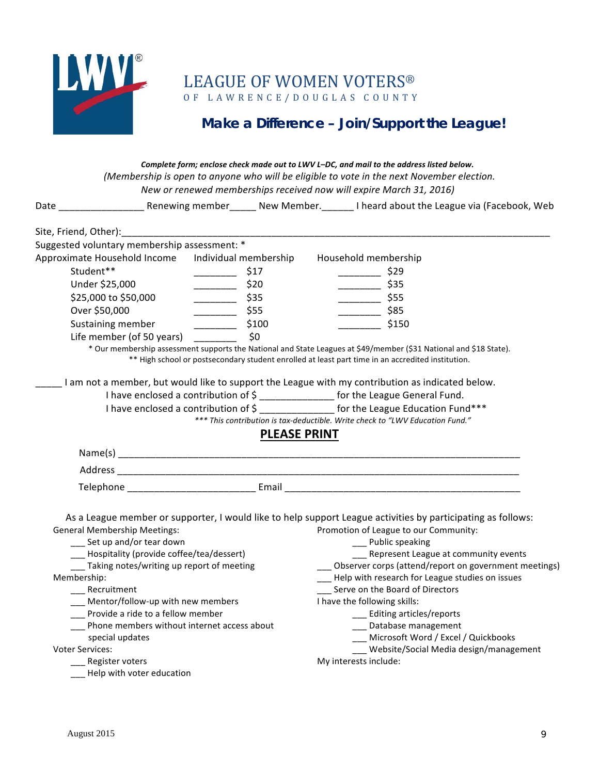

LEAGUE OF WOMEN VOTERS® OF LAWRENCE/DOUGLAS COUNTY

### **Make a Difference – Join/Support the League!**

### *Complete form;* enclose check made out to LWV L-DC, and mail to the address listed below. *(Membership is open to anyone who will be eligible to vote in the next November election. New or renewed memberships received now will expire March 31, 2016)*

| Suggested voluntary membership assessment: *                                                                                                                                                                                                                                                                                                                                                                                              |                                   |                     |                                                                                                                                                                                                                                                                                                                                                                                                                                                                                                                                                                                      |
|-------------------------------------------------------------------------------------------------------------------------------------------------------------------------------------------------------------------------------------------------------------------------------------------------------------------------------------------------------------------------------------------------------------------------------------------|-----------------------------------|---------------------|--------------------------------------------------------------------------------------------------------------------------------------------------------------------------------------------------------------------------------------------------------------------------------------------------------------------------------------------------------------------------------------------------------------------------------------------------------------------------------------------------------------------------------------------------------------------------------------|
| Approximate Household Income                                                                                                                                                                                                                                                                                                                                                                                                              | Individual membership             |                     | Household membership                                                                                                                                                                                                                                                                                                                                                                                                                                                                                                                                                                 |
| Student**                                                                                                                                                                                                                                                                                                                                                                                                                                 | \$17<br>$\frac{1}{1}$             |                     | $\frac{1}{2}$ \$29                                                                                                                                                                                                                                                                                                                                                                                                                                                                                                                                                                   |
| Under \$25,000                                                                                                                                                                                                                                                                                                                                                                                                                            | \$20                              |                     | $\frac{1}{2}$ \$35                                                                                                                                                                                                                                                                                                                                                                                                                                                                                                                                                                   |
| \$25,000 to \$50,000                                                                                                                                                                                                                                                                                                                                                                                                                      | $\frac{1}{2}$ \$35                |                     |                                                                                                                                                                                                                                                                                                                                                                                                                                                                                                                                                                                      |
| Over \$50,000                                                                                                                                                                                                                                                                                                                                                                                                                             | $\frac{1}{\sqrt{555}}$            |                     |                                                                                                                                                                                                                                                                                                                                                                                                                                                                                                                                                                                      |
| Sustaining member                                                                                                                                                                                                                                                                                                                                                                                                                         | $\frac{\text{S}}{\text{S}}$ \$100 |                     | $\frac{1}{2}$ \$150                                                                                                                                                                                                                                                                                                                                                                                                                                                                                                                                                                  |
| Life member (of 50 years)                                                                                                                                                                                                                                                                                                                                                                                                                 | \$0                               |                     |                                                                                                                                                                                                                                                                                                                                                                                                                                                                                                                                                                                      |
|                                                                                                                                                                                                                                                                                                                                                                                                                                           |                                   |                     | * Our membership assessment supports the National and State Leagues at \$49/member (\$31 National and \$18 State).<br>** High school or postsecondary student enrolled at least part time in an accredited institution.                                                                                                                                                                                                                                                                                                                                                              |
|                                                                                                                                                                                                                                                                                                                                                                                                                                           |                                   |                     | I am not a member, but would like to support the League with my contribution as indicated below.                                                                                                                                                                                                                                                                                                                                                                                                                                                                                     |
|                                                                                                                                                                                                                                                                                                                                                                                                                                           |                                   |                     | I have enclosed a contribution of \$ ________________ for the League General Fund.                                                                                                                                                                                                                                                                                                                                                                                                                                                                                                   |
|                                                                                                                                                                                                                                                                                                                                                                                                                                           |                                   |                     | I have enclosed a contribution of \$ _______________ for the League Education Fund***                                                                                                                                                                                                                                                                                                                                                                                                                                                                                                |
|                                                                                                                                                                                                                                                                                                                                                                                                                                           |                                   |                     | *** This contribution is tax-deductible. Write check to "LWV Education Fund."                                                                                                                                                                                                                                                                                                                                                                                                                                                                                                        |
|                                                                                                                                                                                                                                                                                                                                                                                                                                           |                                   | <b>PLEASE PRINT</b> |                                                                                                                                                                                                                                                                                                                                                                                                                                                                                                                                                                                      |
|                                                                                                                                                                                                                                                                                                                                                                                                                                           |                                   |                     |                                                                                                                                                                                                                                                                                                                                                                                                                                                                                                                                                                                      |
|                                                                                                                                                                                                                                                                                                                                                                                                                                           |                                   |                     |                                                                                                                                                                                                                                                                                                                                                                                                                                                                                                                                                                                      |
|                                                                                                                                                                                                                                                                                                                                                                                                                                           |                                   |                     |                                                                                                                                                                                                                                                                                                                                                                                                                                                                                                                                                                                      |
| <b>General Membership Meetings:</b><br>__ Set up and/or tear down<br>___ Hospitality (provide coffee/tea/dessert)<br>__ Taking notes/writing up report of meeting<br>Membership:<br>__ Recruitment<br>___ Mentor/follow-up with new members<br>__ Provide a ride to a fellow member<br>__ Phone members without internet access about<br>special updates<br><b>Voter Services:</b><br>__ Register voters<br>___ Help with voter education |                                   |                     | As a League member or supporter, I would like to help support League activities by participating as follows:<br>Promotion of League to our Community:<br>__ Public speaking<br>___ Represent League at community events<br>__ Observer corps (attend/report on government meetings)<br>__ Help with research for League studies on issues<br>Serve on the Board of Directors<br>I have the following skills:<br>___ Editing articles/reports<br>___ Database management<br>Microsoft Word / Excel / Quickbooks<br>__ Website/Social Media design/management<br>My interests include: |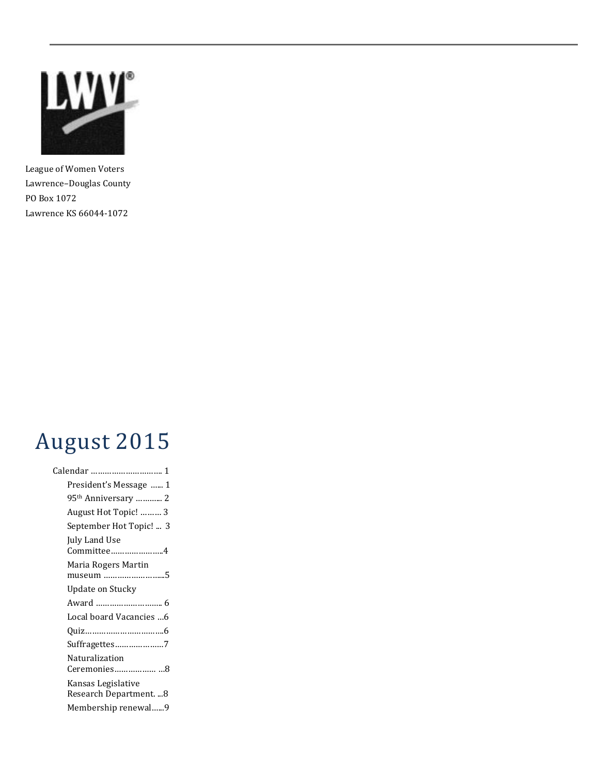

League of Women Voters Lawrence–Douglas County PO Box 1072 Lawrence KS 66044-1072

# August 2015

| Calendar  1                                  |  |
|----------------------------------------------|--|
| President's Message  1                       |  |
| 95 <sup>th</sup> Anniversary  2              |  |
| August Hot Topic!  3                         |  |
| September Hot Topic!  3                      |  |
| July Land Use                                |  |
| Committee4                                   |  |
| Maria Rogers Martin<br>museum 5              |  |
| Update on Stucky                             |  |
| Award  6                                     |  |
| Local board Vacancies 6                      |  |
|                                              |  |
| Suffragettes7                                |  |
| Naturalization<br>Ceremonies 8               |  |
| Kansas Legislative<br>Research Department. 8 |  |
| Membership renewal9                          |  |